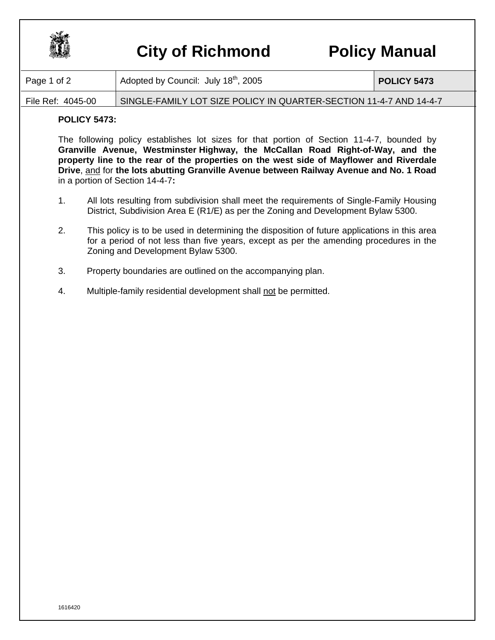

## **City of Richmond Policy Manual**

| Page 1 of 2       | Adopted by Council: July 18 <sup>th</sup> , 2005                   | <b>POLICY 5473</b> |
|-------------------|--------------------------------------------------------------------|--------------------|
| File Ref: 4045-00 | SINGLE-FAMILY LOT SIZE POLICY IN QUARTER-SECTION 11-4-7 AND 14-4-7 |                    |

## **POLICY 5473:**

The following policy establishes lot sizes for that portion of Section 11-4-7, bounded by **Granville Avenue, Westminster Highway, the McCallan Road Right-of-Way, and the property line to the rear of the properties on the west side of Mayflower and Riverdale Drive**, and for **the lots abutting Granville Avenue between Railway Avenue and No. 1 Road** in a portion of Section 14-4-7**:**

- 1. All lots resulting from subdivision shall meet the requirements of Single-Family Housing District, Subdivision Area E (R1/E) as per the Zoning and Development Bylaw 5300.
- 2. This policy is to be used in determining the disposition of future applications in this area for a period of not less than five years, except as per the amending procedures in the Zoning and Development Bylaw 5300.
- 3. Property boundaries are outlined on the accompanying plan.
- 4. Multiple-family residential development shall not be permitted.